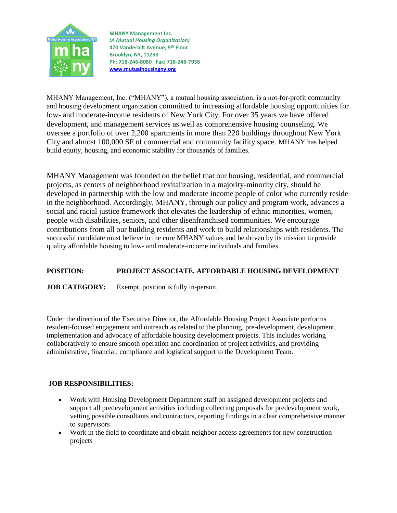

**MHANY Management Inc.** *(A Mutual Housing Organization)* **470 Vanderbilt Avenue, 9 th Floor Brooklyn, NY, 11238 Ph: 718-246-8080 Fax: 718-246-7938 [www.mutualhousingny.org](http://www.mutualhousingny.org/)**

MHANY Management, Inc. ("MHANY"), a mutual housing association, is a not-for-profit community and housing development organization committed to increasing affordable housing opportunities for low- and moderate-income residents of New York City. For over 35 years we have offered development, and management services as well as comprehensive housing counseling. We oversee a portfolio of over 2,200 apartments in more than 220 buildings throughout New York City and almost 100,000 SF of commercial and community facility space. MHANY has helped build equity, housing, and economic stability for thousands of families.

MHANY Management was founded on the belief that our housing, residential, and commercial projects, as centers of neighborhood revitalization in a majority-minority city, should be developed in partnership with the low and moderate income people of color who currently reside in the neighborhood. Accordingly, MHANY, through our policy and program work, advances a social and racial justice framework that elevates the leadership of ethnic minorities, women, people with disabilities, seniors, and other disenfranchised communities. We encourage contributions from all our building residents and work to build relationships with residents. The successful candidate must believe in the core MHANY values and be driven by its mission to provide quality affordable housing to low- and moderate-income individuals and families.

## **POSITION: PROJECT ASSOCIATE, AFFORDABLE HOUSING DEVELOPMENT**

**JOB CATEGORY:** Exempt, position is fully in-person.

Under the direction of the Executive Director, the Affordable Housing Project Associate performs resident-focused engagement and outreach as related to the planning, pre-development, development, implementation and advocacy of affordable housing development projects. This includes working collaboratively to ensure smooth operation and coordination of project activities, and providing administrative, financial, compliance and logistical support to the Development Team.

## **JOB RESPONSIBILITIES:**

- Work with Housing Development Department staff on assigned development projects and support all predevelopment activities including collecting proposals for predevelopment work, vetting possible consultants and contractors, reporting findings in a clear comprehensive manner to supervisors
- Work in the field to coordinate and obtain neighbor access agreements for new construction projects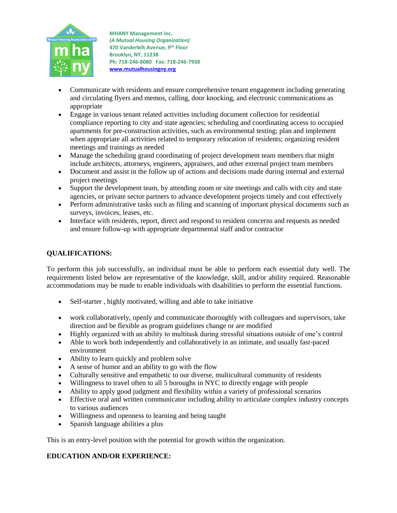

**MHANY Management Inc.** *(A Mutual Housing Organization)* **470 Vanderbilt Avenue, 9 th Floor Brooklyn, NY, 11238 Ph: 718-246-8080 Fax: 718-246-7938 [www.mutualhousingny.org](http://www.mutualhousingny.org/)**

- Communicate with residents and ensure comprehensive tenant engagement including generating and circulating flyers and memos, calling, door knocking, and electronic communications as appropriate
- Engage in various tenant related activities including document collection for residential compliance reporting to city and state agencies; scheduling and coordinating access to occupied apartments for pre-construction activities, such as environmental testing; plan and implement when appropriate all activities related to temporary relocation of residents; organizing resident meetings and trainings as needed
- Manage the scheduling grand coordinating of project development team members that might include architects, attorneys, engineers, appraisers, and other external project team members
- Document and assist in the follow up of actions and decisions made during internal and external project meetings
- Support the development team, by attending zoom or site meetings and calls with city and state agencies, or private sector partners to advance development projects timely and cost effectively
- Perform administrative tasks such as filing and scanning of important physical documents such as surveys, invoices, leases, etc.
- Interface with residents, report, direct and respond to resident concerns and requests as needed and ensure follow-up with appropriate departmental staff and/or contractor

## **QUALIFICATIONS:**

To perform this job successfully, an individual must be able to perform each essential duty well. The requirements listed below are representative of the knowledge, skill, and/or ability required. Reasonable accommodations may be made to enable individuals with disabilities to perform the essential functions.

- Self-starter, highly motivated, willing and able to take initiative
- work collaboratively, openly and communicate thoroughly with colleagues and supervisors, take direction and be flexible as program guidelines change or are modified
- Highly organized with an ability to multitask during stressful situations outside of one's control
- Able to work both independently and collaboratively in an intimate, and usually fast-paced environment
- Ability to learn quickly and problem solve
- A sense of humor and an ability to go with the flow
- Culturally sensitive and empathetic to our diverse, multicultural community of residents
- Willingness to travel often to all 5 boroughs in NYC to directly engage with people
- Ability to apply good judgment and flexibility within a variety of professional scenarios
- Effective oral and written communicator including ability to articulate complex industry concepts to various audiences
- Willingness and openness to learning and being taught
- Spanish language abilities a plus

This is an entry-level position with the potential for growth within the organization.

## **EDUCATION AND/OR EXPERIENCE:**